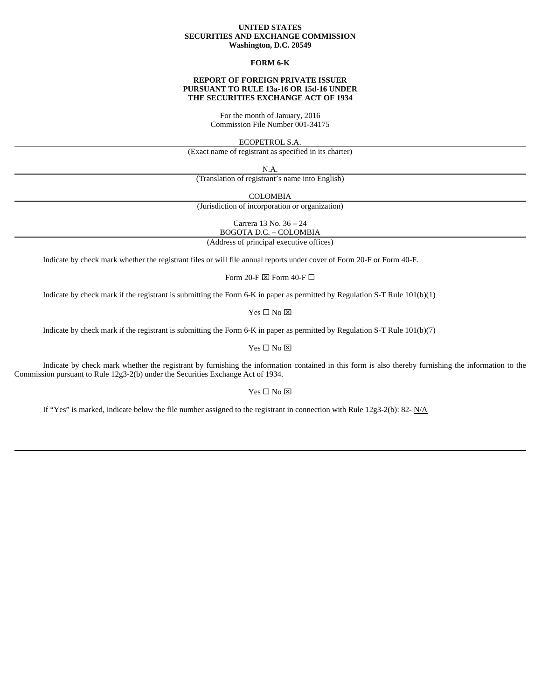#### **UNITED STATES SECURITIES AND EXCHANGE COMMISSION Washington, D.C. 20549**

## **FORM 6-K**

## **REPORT OF FOREIGN PRIVATE ISSUER PURSUANT TO RULE 13a-16 OR 15d-16 UNDER THE SECURITIES EXCHANGE ACT OF 1934**

For the month of January, 2016 Commission File Number 001-34175

ECOPETROL S.A.

(Exact name of registrant as specified in its charter)

N.A.

(Translation of registrant's name into English)

COLOMBIA

(Jurisdiction of incorporation or organization)

Carrera 13 No. 36 – 24

BOGOTA D.C. – COLOMBIA (Address of principal executive offices)

Indicate by check mark whether the registrant files or will file annual reports under cover of Form 20-F or Form 40-F.

Form 20-F  $\boxtimes$  Form 40-F  $\Box$ 

Indicate by check mark if the registrant is submitting the Form 6-K in paper as permitted by Regulation S-T Rule 101(b)(1)

 $Yes \Box No \boxtimes$ 

Indicate by check mark if the registrant is submitting the Form 6-K in paper as permitted by Regulation S-T Rule 101(b)(7)

Yes  $\square$  No  $\square$ 

Indicate by check mark whether the registrant by furnishing the information contained in this form is also thereby furnishing the information to the Commission pursuant to Rule 12g3-2(b) under the Securities Exchange Act of 1934.

 $Yes \Box No \boxtimes$ 

If "Yes" is marked, indicate below the file number assigned to the registrant in connection with Rule 12g3-2(b): 82-  $N/A$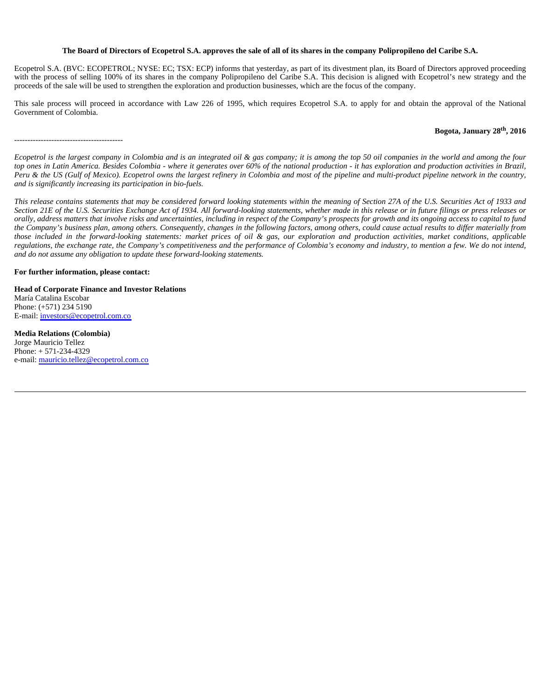### **The Board of Directors of Ecopetrol S.A. approves the sale of all of its shares in the company Polipropileno del Caribe S.A.**

Ecopetrol S.A. (BVC: ECOPETROL; NYSE: EC; TSX: ECP) informs that yesterday, as part of its divestment plan, its Board of Directors approved proceeding with the process of selling 100% of its shares in the company Polipropileno del Caribe S.A. This decision is aligned with Ecopetrol's new strategy and the proceeds of the sale will be used to strengthen the exploration and production businesses, which are the focus of the company.

This sale process will proceed in accordance with Law 226 of 1995, which requires Ecopetrol S.A. to apply for and obtain the approval of the National Government of Colombia.

## **Bogota, January 28th, 2016**

*Ecopetrol is the largest company in Colombia and is an integrated oil & gas company; it is among the top 50 oil companies in the world and among the four top ones in Latin America. Besides Colombia - where it generates over 60% of the national production - it has exploration and production activities in Brazil, Peru & the US (Gulf of Mexico). Ecopetrol owns the largest refinery in Colombia and most of the pipeline and multi-product pipeline network in the country, and is significantly increasing its participation in bio-fuels.*

*This release contains statements that may be considered forward looking statements within the meaning of Section 27A of the U.S. Securities Act of 1933 and Section 21E of the U.S. Securities Exchange Act of 1934. All forward-looking statements, whether made in this release or in future filings or press releases or orally, address matters that involve risks and uncertainties, including in respect of the Company's prospects for growth and its ongoing access to capital to fund the Company's business plan, among others. Consequently, changes in the following factors, among others, could cause actual results to differ materially from those included in the forward-looking statements: market prices of oil & gas, our exploration and production activities, market conditions, applicable regulations, the exchange rate, the Company's competitiveness and the performance of Colombia's economy and industry, to mention a few. We do not intend, and do not assume any obligation to update these forward-looking statements.*

**For further information, please contact:** 

-----------------------------------------

**Head of Corporate Finance and Investor Relations** María Catalina Escobar Phone: (+571) 234 5190 E-mail: investors@ecopetrol.com.co

**Media Relations (Colombia)**  Jorge Mauricio Tellez Phone: + 571-234-4329 e-mail: mauricio.tellez@ecopetrol.com.co